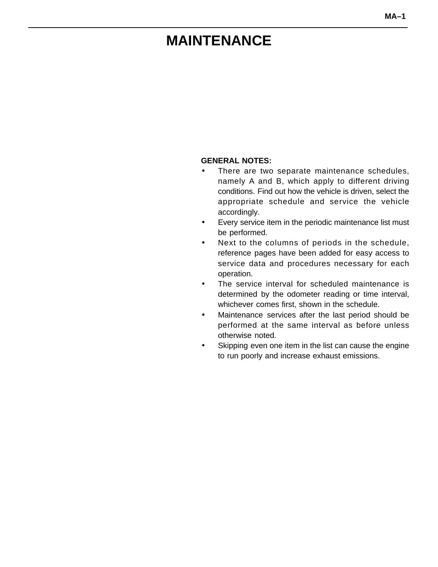# <span id="page-0-0"></span>**MAINTENANCE**

#### **GENERAL NOTES:**

- There are two separate maintenance schedules, namely A and B, which apply to different driving conditions. Find out how the vehicle is driven, select the appropriate schedule and service the vehicle accordingly.
- Every service item in the periodic maintenance list must be performed.
- Next to the columns of periods in the schedule, reference pages have been added for easy access to service data and procedures necessary for each operation.
- The service interval for scheduled maintenance is determined by the odometer reading or time interval, whichever comes first, shown in the schedule.
- Maintenance services after the last period should be performed at the same interval as before unless otherwise noted.
- Skipping even one item in the list can cause the engine to run poorly and increase exhaust emissions.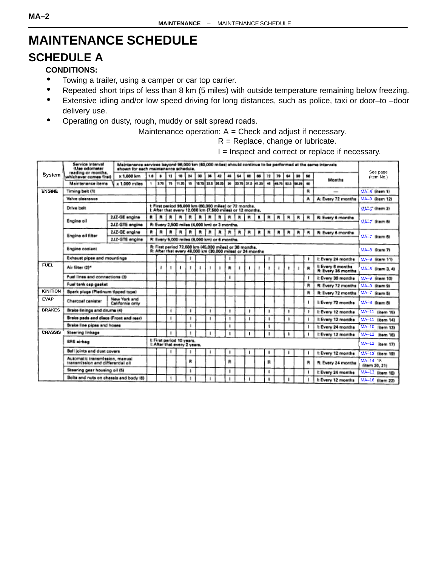# <span id="page-1-0"></span>**MAINTENANCE SCHEDULE**

## **SCHEDULE A**

#### **CONDITIONS:**

- Towing a trailer, using a camper or car top carrier.
- Repeated short trips of less than 8 km (5 miles) with outside temperature remaining below freezing.
- Extensive idling and/or low speed driving for long distances, such as police, taxi or door–to –door delivery use.
- Operating on dusty, rough, muddy or salt spread roads.

Maintenance operation:  $A =$  Check and adjust if necessary.

 $R =$  Replace, change or lubricate.

I = Inspect and correct or replace if necessary.

|                 | Service Interval<br>(Lise odomater                                  | Maintenance services beyond 96,000 km (60,000 miles) should continue to be performed at the same intervals.<br>shown for each maintenance schedule. |     |      |    |                                                           |    |   |                                                                                                                     |    |   |                  |   |    |       |   |       |                         |                                               | See page                  |  |
|-----------------|---------------------------------------------------------------------|-----------------------------------------------------------------------------------------------------------------------------------------------------|-----|------|----|-----------------------------------------------------------|----|---|---------------------------------------------------------------------------------------------------------------------|----|---|------------------|---|----|-------|---|-------|-------------------------|-----------------------------------------------|---------------------------|--|
| System          | reading or months.<br>whichever comes first)                        | <b>K1.000 km</b>                                                                                                                                    | 1.8 |      | 13 |                                                           | 34 |   |                                                                                                                     |    |   |                  |   |    |       |   |       | 98                      |                                               | (item No.)                |  |
|                 | Maintenance items                                                   | x 1,000 miles                                                                                                                                       |     | 3.76 | 75 | 11.26                                                     | w  |   | 18.75 22.5 26.25                                                                                                    | 30 |   | 39.76 37.5 41.35 |   | 45 | 48.76 |   | 54.75 |                         | Months                                        |                           |  |
| <b>FNGINE</b>   | Timing belt (1)                                                     |                                                                                                                                                     |     |      |    |                                                           |    |   |                                                                                                                     |    |   |                  |   |    |       |   |       | A                       |                                               | MA-6 litem 1)             |  |
|                 | Valve classrance                                                    |                                                                                                                                                     |     |      |    |                                                           |    |   |                                                                                                                     |    |   |                  |   |    |       |   |       | ۸                       | A: Every 72 months                            | MA-9 (ilem 12)            |  |
|                 | Drive belt                                                          |                                                                                                                                                     |     |      |    |                                                           |    |   | t: First period 96,000 km (60,000 miles) or 72 months.<br>t: After that every 12,000 km (7,500 miles) or 12 months. |    |   |                  |   |    |       |   |       |                         |                                               | $\overline{MA}-6$ (hem 2) |  |
|                 | Engine oil                                                          | 2JZ-GE engine                                                                                                                                       | й.  |      |    |                                                           |    |   | n                                                                                                                   | п. | в | ×.               | R | R  | в     | R | R     | я                       | R: Every 6 months                             |                           |  |
|                 |                                                                     | 2JZ-GTE engine                                                                                                                                      |     |      |    |                                                           |    |   | R: Every 2,500 miles (4,000 km) or 3 months.                                                                        |    |   |                  |   |    |       |   |       |                         |                                               | MA-7 literatu             |  |
|                 | Engine oil filter                                                   | 2JZ-GE engine                                                                                                                                       |     |      |    |                                                           |    |   |                                                                                                                     |    | ٠ | м                |   |    |       | R | R.    | $\overline{\mathbf{B}}$ | R: Every 6 months                             |                           |  |
|                 |                                                                     | 2JZ-GTE engine                                                                                                                                      |     |      |    |                                                           |    |   | R: Every 5,000 miles (8,000 km) or 6 months.                                                                        |    |   |                  |   |    |       |   |       |                         |                                               | MA-7 literm 60            |  |
|                 | Engine coolant                                                      |                                                                                                                                                     |     |      |    |                                                           |    |   | R: First period 72,000 km (45,000 miles) or 36 months.<br>R: After that every 48,000 km (30,000 miles) or 24 months |    |   |                  |   |    |       |   |       |                         |                                               | MA-8 fitum 71             |  |
|                 | <b>Exhaust pipes and mountings</b>                                  |                                                                                                                                                     |     |      |    |                                                           |    |   |                                                                                                                     |    |   |                  |   |    |       |   |       |                         | I: Every 24 months                            | MA-9 (item 11)            |  |
| <b>FUEL</b>     | Air filter (2)*                                                     |                                                                                                                                                     |     |      |    |                                                           |    |   |                                                                                                                     |    |   |                  |   |    |       |   |       |                         | <b>L</b> Every 6 months<br>R: Every 36 months | MA-6 0tem 3, 48           |  |
|                 | Fuel lines and connections (3)                                      |                                                                                                                                                     |     |      |    |                                                           |    |   |                                                                                                                     |    |   |                  |   |    |       |   |       |                         | It Every 36 months                            | MA-9 (item 10)            |  |
|                 | Fuel tank cap gasket                                                |                                                                                                                                                     |     |      |    |                                                           |    |   |                                                                                                                     |    |   |                  |   |    |       |   |       | R                       | R: Every 72 months                            | MA-9 (item 9)             |  |
| <b>IGNITION</b> | Spark plugs (Pletinum tipped type)                                  |                                                                                                                                                     |     |      |    |                                                           |    |   |                                                                                                                     |    |   |                  |   |    |       |   |       | R                       | R: Every 72 months                            | MA-7 (item 5)             |  |
| <b>EVAP</b>     | Charcoal canister                                                   | New York and<br>California only                                                                                                                     |     |      |    |                                                           |    |   |                                                                                                                     |    |   |                  |   |    |       |   |       |                         | <b>E Every 72 months</b>                      | MA-8 Ditem BL             |  |
| <b>BRAKES</b>   | Brake linings and drums (4)                                         |                                                                                                                                                     |     |      |    |                                                           | ٠  | ٠ |                                                                                                                     | ٠  |   | ٠                |   | ı  |       |   |       |                         | I: Every 12 months                            | MA-11 (item 15)           |  |
|                 | Brake pads and discs (Front and rear)                               |                                                                                                                                                     |     |      |    |                                                           |    |   |                                                                                                                     | п  |   |                  |   |    |       |   |       |                         | I: Every 12 months                            | MA-11 (item 14)           |  |
|                 | <b>Brake line pipes and hoses</b>                                   |                                                                                                                                                     |     |      |    |                                                           |    |   |                                                                                                                     |    |   |                  |   |    |       |   |       |                         | It Every 24 months                            | MA-10 [hem 13]            |  |
| <b>CHASSIS</b>  | Stearing linkage                                                    |                                                                                                                                                     |     |      |    |                                                           |    |   |                                                                                                                     |    |   |                  |   |    |       |   |       |                         | L Every 12 months                             | MA-12   item 160          |  |
|                 | SRS airbag                                                          |                                                                                                                                                     |     |      |    | It First period 10 years.<br>I: After that every 2 years. |    |   |                                                                                                                     |    |   |                  |   |    |       |   |       |                         |                                               | MA-12 litem 171           |  |
|                 | <b>Ball joints and dust covers</b>                                  |                                                                                                                                                     |     |      |    |                                                           |    |   |                                                                                                                     |    |   |                  |   |    |       |   |       |                         | t Every 12 months                             | MA-13 (kem 19)            |  |
|                 | Automatic transmission, manual<br>transmission and differential oil |                                                                                                                                                     |     |      |    |                                                           | R  |   |                                                                                                                     | 曲  |   |                  |   | я  |       |   |       | R                       | R: Every 24 months                            | MA-14, 15<br>6tem 20, 21/ |  |
|                 | Steering gear housing oil (5)                                       |                                                                                                                                                     |     |      |    |                                                           |    |   |                                                                                                                     |    |   |                  |   | ı  |       |   |       |                         | I: Every 24 months                            | MA-13 (item 15)           |  |
|                 | Bolts and nuts on chassis and body (6)                              |                                                                                                                                                     |     |      |    |                                                           |    |   |                                                                                                                     |    |   |                  |   |    |       |   |       |                         | It Every 12 months                            | MA-16 (item 22)           |  |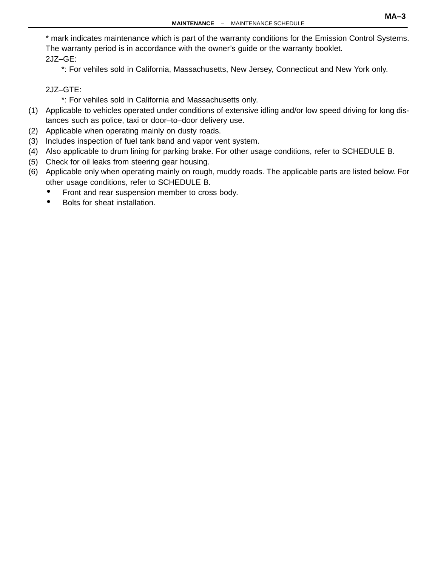<span id="page-2-0"></span>\* mark indicates maintenance which is part of the warranty conditions for the Emission Control Systems. The warranty period is in accordance with the owner's guide or the warranty booklet. 2JZ–GE:

\*: For vehiles sold in California, Massachusetts, New Jersey, Connecticut and New York only.

2JZ–GTE:

\*: For vehiles sold in California and Massachusetts only.

- (1) Applicable to vehicles operated under conditions of extensive idling and/or low speed driving for long distances such as police, taxi or door–to–door delivery use.
- (2) Applicable when operating mainly on dusty roads.
- (3) Includes inspection of fuel tank band and vapor vent system.
- (4) Also applicable to drum lining for parking brake. For other usage conditions, refer to SCHEDULE B.
- (5) Check for oil leaks from steering gear housing.
- (6) Applicable only when operating mainly on rough, muddy roads. The applicable parts are listed below. For other usage conditions, refer to SCHEDULE B.
	- Front and rear suspension member to cross body.
	- Bolts for sheat installation.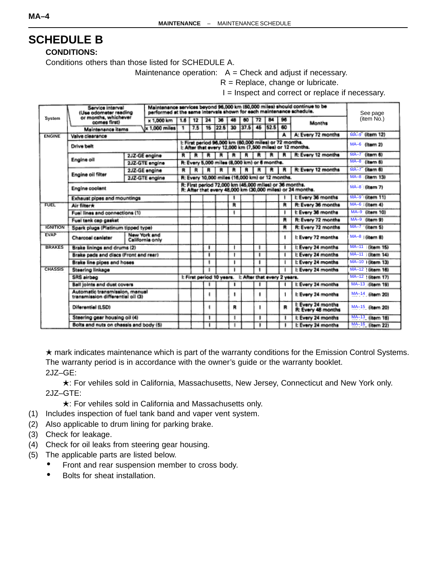## <span id="page-3-0"></span>**SCHEDULE B**

**CONDITIONS:**

Conditions others than those listed for SCHEDULE A.

Maintenance operation:  $A =$  Check and adjust if necessary.

 $R =$  Replace, change or lubricate.

I = Inspect and correct or replace if necessary.

|                 | Service interval<br>(Use odometer reading                           |  | performed at the same intervals shown for each maintenance schedule. |     |     |                                                                                                                      |                                                        |    |      |    |      |    | Maintenance services beyond 96,000 km (60,000 miles) should continue to be | See page          |
|-----------------|---------------------------------------------------------------------|--|----------------------------------------------------------------------|-----|-----|----------------------------------------------------------------------------------------------------------------------|--------------------------------------------------------|----|------|----|------|----|----------------------------------------------------------------------------|-------------------|
| <b>System</b>   | or months, whichever<br>comes first)                                |  | x 1,000 km                                                           | 1.6 | 12  | 24                                                                                                                   | 36                                                     | 48 | 60   | 72 | 84   | 96 | Months                                                                     | (item No.)        |
|                 | Maintenance items                                                   |  | $\times$ 1.000 miles                                                 |     | 7.5 | 15                                                                                                                   | 22.5                                                   | 30 | 37.5 | 45 | 52.5 | 60 |                                                                            |                   |
| <b>ENGINE</b>   | Valve clearance                                                     |  |                                                                      |     |     |                                                                                                                      |                                                        |    |      |    |      |    | A: Every 72 months                                                         | MA-9 (item 12)    |
|                 | Drive belt                                                          |  |                                                                      |     |     |                                                                                                                      | I: First period 98,000 km (60,000 miles) or 72 months. |    |      |    |      |    | I: After that every 12,000 km (7,500 miles) or 12 months.                  | MA-6 (Item 2)     |
|                 |                                                                     |  | 2JZ-GE engine                                                        | R I | в.  | к                                                                                                                    |                                                        |    |      | R  |      |    | R: Every 12 months                                                         | MA-7 (Item 6)     |
|                 | Engine oil                                                          |  | 2JZ-GTE engine                                                       |     |     |                                                                                                                      | R: Every 5,000 miles (8,000 km) or 6 months.           |    |      |    |      |    |                                                                            | MA-8 (item 5)     |
|                 |                                                                     |  | 2JZ-GE engine                                                        | R   | R   | R                                                                                                                    |                                                        |    |      |    |      |    | R: Every 12 months                                                         | $MA-7$ (item 6)   |
|                 | Engine oil filter                                                   |  | 2JZ-GTE engine                                                       |     |     |                                                                                                                      | R: Every 10,000 miles (16,000 km) or 12 months.        |    |      |    |      |    |                                                                            | MA-8 (item 13)    |
|                 | Engine coolant                                                      |  |                                                                      |     |     | R: First period 72,000 km (45,000 miles) or 36 months.<br>R: After that every 48,000 km (30,000 miles) or 24 months. | MA-8 (item 7)                                          |    |      |    |      |    |                                                                            |                   |
|                 | Exhaust pipes and mountings                                         |  |                                                                      |     |     |                                                                                                                      |                                                        |    |      |    |      |    | I: Every 36 months                                                         | MA-9 (item 11)    |
| <b>FUEL</b>     | Air filter*                                                         |  |                                                                      |     |     |                                                                                                                      |                                                        | R  |      |    |      | R  | R: Every 36 months                                                         | $MA-6$ (item 4)   |
|                 | Fuel lines and connections (1)                                      |  |                                                                      |     |     |                                                                                                                      |                                                        | п  |      |    |      |    | I: Every 36 months                                                         | MA-9 (item 10)    |
|                 | Fuel tank cap gasket                                                |  |                                                                      |     |     |                                                                                                                      |                                                        |    |      |    |      | R  | R: Every 72 months                                                         | MA-9 (item 9)     |
| <b>IGNITION</b> | Spark plugs (Platinum tipped type)                                  |  |                                                                      |     |     |                                                                                                                      |                                                        |    |      |    |      | R  | R: Every 72 months                                                         | MA-7 (item 5)     |
| <b>EVAP</b>     | Charcoal canister                                                   |  | New York and<br>California only                                      |     |     |                                                                                                                      |                                                        |    |      |    |      |    | I: Every 72 months                                                         | MA-8   (item 8)   |
| <b>BRAKES</b>   | Brake linings and drums (2)                                         |  |                                                                      |     |     |                                                                                                                      |                                                        |    |      | п  |      |    | I: Every 24 months                                                         | MA-11 (item 15)   |
|                 | Brake pads and discs (Front and rear)                               |  |                                                                      |     |     | ٠                                                                                                                    |                                                        |    |      | п  |      |    | I: Every 24 months                                                         | MA-11 (Item 14)   |
|                 | Brake line pipes and hoses                                          |  |                                                                      |     |     |                                                                                                                      |                                                        |    |      | п  |      |    | I: Every 24 months                                                         | MA-10   (item 13) |
| <b>CHASSIS</b>  | <b>Steering linkage</b>                                             |  |                                                                      |     |     |                                                                                                                      |                                                        |    |      |    |      |    | I: Every 24 months                                                         | MA-12   (item 16) |
|                 | SRS airbag                                                          |  |                                                                      |     |     |                                                                                                                      | I: First period 10 years. L After that every 2 years.  |    |      |    |      |    |                                                                            | MA-12 (litem 17)  |
|                 | <b>Ball joints and dust covers</b>                                  |  |                                                                      |     |     |                                                                                                                      |                                                        |    |      |    |      |    | I: Every 24 months                                                         | MA-13 (item 19)   |
|                 | Automatic transmission, manual<br>transmission differential oil (3) |  |                                                                      |     |     |                                                                                                                      |                                                        | ۱  |      |    |      |    | I: Every 24 months                                                         | MA-14 (illem 20)  |
|                 | Diferential (LSD)                                                   |  |                                                                      |     |     |                                                                                                                      |                                                        | R  |      |    |      | R  | I: Every 24 months<br>R: Every 48 months                                   | MA-15 (tem 20)    |
|                 | Steering gear housing oil (4)                                       |  |                                                                      |     |     | 1                                                                                                                    |                                                        | ı  |      |    |      |    | I: Every 24 months                                                         | MA-13 (item 18)   |
|                 | Bolts and nuts on chassis and body (5)                              |  |                                                                      |     |     |                                                                                                                      |                                                        | т  |      |    |      |    | I: Every 24 months                                                         | MA-16 [item 22]   |

 $\star$  mark indicates maintenance which is part of the warranty conditions for the Emission Control Systems. The warranty period is in accordance with the owner's guide or the warranty booklet. 2JZ–GE:

**★: For vehiles sold in California, Massachusetts, New Jersey, Connecticut and New York only.** 2JZ–GTE:

 $\star$ : For vehiles sold in California and Massachusetts only.

- (1) Includes inspection of fuel tank band and vaper vent system.
- (2) Also applicable to drum lining for parking brake.
- (3) Check for leakage.
- (4) Check for oil leaks from steering gear housing.
- (5) The applicable parts are listed below.
	- Front and rear suspension member to cross body.
	- Bolts for sheat installation.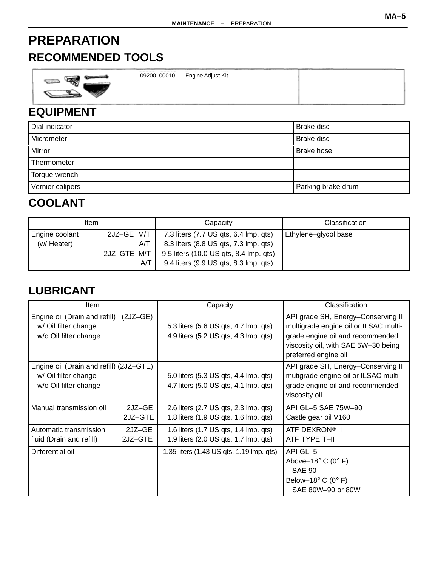## <span id="page-4-0"></span>**PREPARATION**

## **RECOMMENDED TOOLS**

| <b>Support Ford Street, Tennis</b> | the company's company's<br>09200-00010 | Engine Adjust Kit. |  |
|------------------------------------|----------------------------------------|--------------------|--|
|                                    |                                        |                    |  |

## **EQUIPMENT**

| Dial indicator   | Brake disc         |
|------------------|--------------------|
| Micrometer       | Brake disc         |
| Mirror           | Brake hose         |
| Thermometer      |                    |
| Torque wrench    |                    |
| Vernier calipers | Parking brake drum |

## **COOLANT**

|                               | ltem                                    | Capacity                                                                                                                                                          | Classification       |  |  |
|-------------------------------|-----------------------------------------|-------------------------------------------------------------------------------------------------------------------------------------------------------------------|----------------------|--|--|
| Engine coolant<br>(w/ Heater) | 2JZ-GE M/T<br>A/T<br>2JZ-GTE M/T<br>A/T | 7.3 liters (7.7 US qts, 6.4 lmp. qts)<br>8.3 liters (8.8 US qts, 7.3 lmp. qts)<br>9.5 liters (10.0 US qts, 8.4 lmp. qts)<br>9.4 liters (9.9 US qts, 8.3 lmp. qts) | Ethylene-glycol base |  |  |

## **LUBRICANT**

| ltem                                                                                     |                   | Capacity                                                                       | Classification                                                                                                                                                                 |
|------------------------------------------------------------------------------------------|-------------------|--------------------------------------------------------------------------------|--------------------------------------------------------------------------------------------------------------------------------------------------------------------------------|
| Engine oil (Drain and refill)<br>w/ Oil filter change<br>w/o Oil filter change           | $(2JZ-GE)$        | 5.3 liters (5.6 US qts, 4.7 lmp. qts)<br>4.9 liters (5.2 US qts, 4.3 lmp. qts) | API grade SH, Energy-Conserving II<br>multigrade engine oil or ILSAC multi-<br>grade engine oil and recommended<br>viscosity oil, with SAE 5W-30 being<br>preferred engine oil |
| Engine oil (Drain and refill) (2JZ-GTE)<br>w/ Oil filter change<br>w/o Oil filter change |                   | 5.0 liters (5.3 US qts, 4.4 lmp. qts)<br>4.7 liters (5.0 US qts, 4.1 lmp. qts) | API grade SH, Energy-Conserving II<br>mutigrade engine oil or ILSAC multi-<br>grade engine oil and recommended<br>viscosity oil                                                |
| Manual transmission oil                                                                  | 2JZ-GE<br>2JZ-GTE | 2.6 liters (2.7 US qts, 2.3 lmp. qts)<br>1.8 liters (1.9 US qts, 1.6 lmp. qts) | API GL-5 SAE 75W-90<br>Castle gear oil V160                                                                                                                                    |
| Automatic transmission<br>fluid (Drain and refill)                                       | 2JZ-GE<br>2JZ-GTE | 1.6 liters (1.7 US qts, 1.4 lmp. qts)<br>1.9 liters (2.0 US qts, 1.7 lmp. qts) | ATF DEXRON® II<br>ATF TYPE T-II                                                                                                                                                |
| Differential oil                                                                         |                   | 1.35 liters (1.43 US qts, 1.19 lmp. qts)                                       | API GL-5<br>Above-18 $\degree$ C (0 $\degree$ F)<br><b>SAE 90</b><br>Below-18 $\degree$ C (0 $\degree$ F)<br>SAE 80W-90 or 80W                                                 |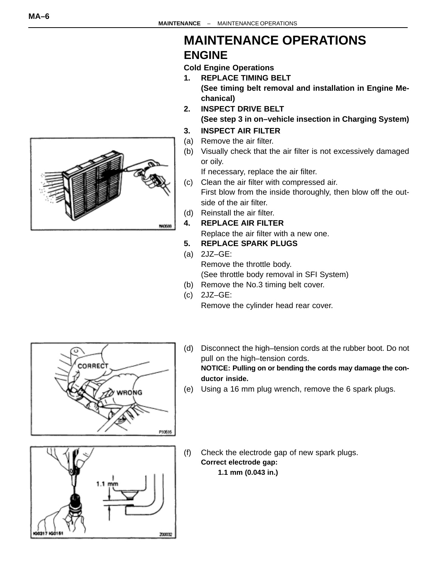# <span id="page-5-0"></span>**NACKAI**

## **MAINTENANCE OPERATIONS ENGINE**

**Cold Engine Operations**

- **1. REPLACE TIMING BELT (See timing belt removal and installation in Engine Mechanical)**
- **2. INSPECT DRIVE BELT (See step 3 in on–vehicle insection in Charging System)**

#### **3. INSPECT AIR FILTER**

- (a) Remove the air filter.
- (b) Visually check that the air filter is not excessively damaged or oily.

If necessary, replace the air filter.

- (c) Clean the air filter with compressed air. First blow from the inside thoroughly, then blow off the outside of the air filter.
- (d) Reinstall the air filter.
- **4. REPLACE AIR FILTER** Replace the air filter with a new one.
- **5. REPLACE SPARK PLUGS**
- (a) 2JZ–GE: Remove the throttle body. (See throttle body removal in SFI System)
- (b) Remove the No.3 timing belt cover.
- (c) 2JZ–GE: Remove the cylinder head rear cover.



(d) Disconnect the high–tension cords at the rubber boot. Do not pull on the high–tension cords.

**NOTICE: Pulling on or bending the cords may damage the conductor inside.**

(e) Using a 16 mm plug wrench, remove the 6 spark plugs.



(f) Check the electrode gap of new spark plugs. **Correct electrode gap: 1.1 mm (0.043 in.)**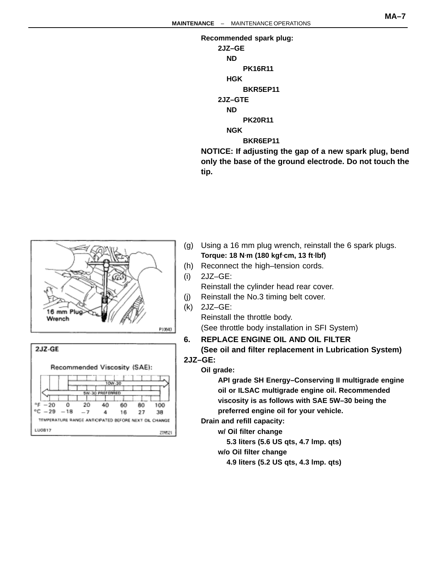<span id="page-6-0"></span>

**NOTICE: If adjusting the gap of a new spark plug, bend only the base of the ground electrode. Do not touch the tip.**





- (g) Using a 16 mm plug wrench, reinstall the 6 spark plugs. **Torque: 18 N**⋅**m (180 kgf**⋅**cm, 13 ft**⋅**lbf)**
- (h) Reconnect the high–tension cords.
- (i) 2JZ–GE:

Reinstall the cylinder head rear cover.

- (j) Reinstall the No.3 timing belt cover.
- (k) 2JZ–GE: Reinstall the throttle body. (See throttle body installation in SFI System)
- **6. REPLACE ENGINE OIL AND OIL FILTER (See oil and filter replacement in Lubrication System)**

**2JZ–GE:**

**Oil grade:**

**API grade SH Energy–Conserving II multigrade engine oil or ILSAC multigrade engine oil. Recommended viscosity is as follows with SAE 5W–30 being the preferred engine oil for your vehicle.**

**Drain and refill capacity:**

**w/ Oil filter change**

**5.3 liters (5.6 US qts, 4.7 lmp. qts)**

**w/o Oil filter change**

**4.9 liters (5.2 US qts, 4.3 lmp. qts)**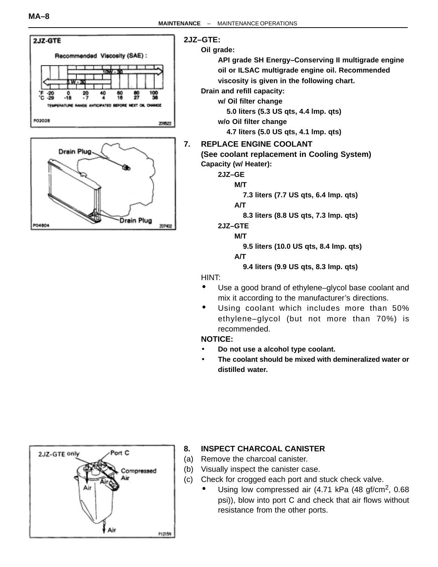<span id="page-7-0"></span>



#### **2JZ–GTE:**

#### **Oil grade:**

**API grade SH Energy–Conserving II multigrade engine oil or ILSAC multigrade engine oil. Recommended viscosity is given in the following chart.**

**Drain and refill capacity:**

**w/ Oil filter change**

**5.0 liters (5.3 US qts, 4.4 lmp. qts)**

**w/o Oil filter change**

**4.7 liters (5.0 US qts, 4.1 lmp. qts)**

#### **7. REPLACE ENGINE COOLANT**

**(See coolant replacement in Cooling System) Capacity (w/ Heater):**

**2JZ–GE**

#### **M/T**

**7.3 liters (7.7 US qts, 6.4 lmp. qts)**

**A/T**

**8.3 liters (8.8 US qts, 7.3 lmp. qts)**

#### **2JZ–GTE**

**M/T**

**9.5 liters (10.0 US qts, 8.4 lmp. qts)**

**A/T**

**9.4 liters (9.9 US qts, 8.3 lmp. qts)**

HINT:

- Use a good brand of ethylene–glycol base coolant and mix it according to the manufacturer's directions.
- Using coolant which includes more than 50% ethylene–glycol (but not more than 70%) is recommended.

#### **NOTICE:**

- **Do not use a alcohol type coolant.**
- **The coolant should be mixed with demineralized water or distilled water.**



#### **8. INSPECT CHARCOAL CANISTER**

- (a) Remove the charcoal canister.
- (b) Visually inspect the canister case.
- (c) Check for crogged each port and stuck check valve.
	- Using low compressed air  $(4.71 \text{ kPa} (48 \text{ gf/cm}^2, 0.68$ psi)), blow into port C and check that air flows without resistance from the other ports.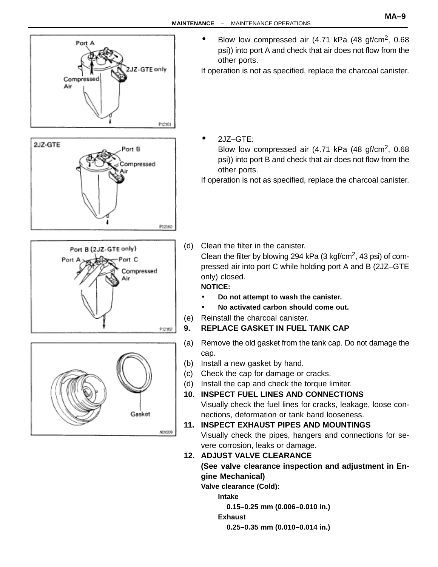<span id="page-8-0"></span>

Blow low compressed air  $(4.71 \text{ kPa} (48 \text{ qf/cm}^2, 0.68$ psi)) into port A and check that air does not flow from the other ports.

If operation is not as specified, replace the charcoal canister.

• 2JZ–GTE:

Blow low compressed air (4.71 kPa (48 gf/cm2, 0.68 psi)) into port B and check that air does not flow from the other ports.

If operation is not as specified, replace the charcoal canister.

(d) Clean the filter in the canister.

Clean the filter by blowing 294 kPa (3 kgf/cm2, 43 psi) of compressed air into port C while holding port A and B (2JZ–GTE only) closed.

#### **NOTICE:**

- **Do not attempt to wash the canister.**
- **No activated carbon should come out.**
- (e) Reinstall the charcoal canister.
- **9. REPLACE GASKET IN FUEL TANK CAP**
- (a) Remove the old gasket from the tank cap. Do not damage the cap.
- (b) Install a new gasket by hand.
- (c) Check the cap for damage or cracks.
- (d) Install the cap and check the torque limiter.
- **10. INSPECT FUEL LINES AND CONNECTIONS** Visually check the fuel lines for cracks, leakage, loose connections, deformation or tank band looseness.
- **11. INSPECT EXHAUST PIPES AND MOUNTINGS**

Visually check the pipes, hangers and connections for severe corrosion, leaks or damage.

**12. ADJUST VALVE CLEARANCE (See valve clearance inspection and adjustment in Engine Mechanical)**

**Valve clearance (Cold):**

**Intake**

**0.15–0.25 mm (0.006–0.010 in.)**

**Exhaust**

**0.25–0.35 mm (0.010–0.014 in.)**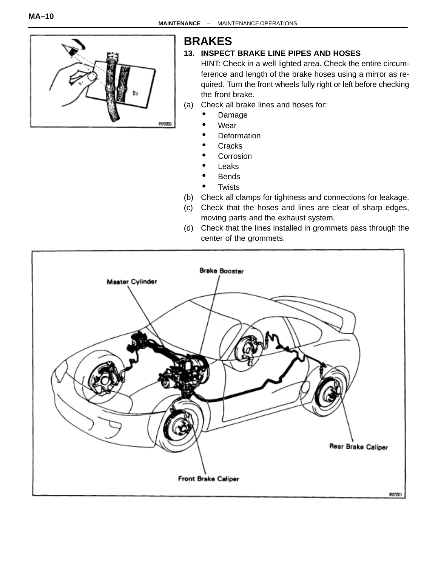<span id="page-9-0"></span>

# **BRAKES**

#### **13. INSPECT BRAKE LINE PIPES AND HOSES**

HINT: Check in a well lighted area. Check the entire circumference and length of the brake hoses using a mirror as required. Turn the front wheels fully right or left before checking the front brake.

(a) Check all brake lines and hoses for:

- Damage
- **Wear**
- **Deformation**
- **Cracks**
- **Corrosion**
- **Leaks**
- **Bends**
- **Twists**
- (b) Check all clamps for tightness and connections for leakage.
- (c) Check that the hoses and lines are clear of sharp edges, moving parts and the exhaust system.
- (d) Check that the lines installed in grommets pass through the center of the grommets.

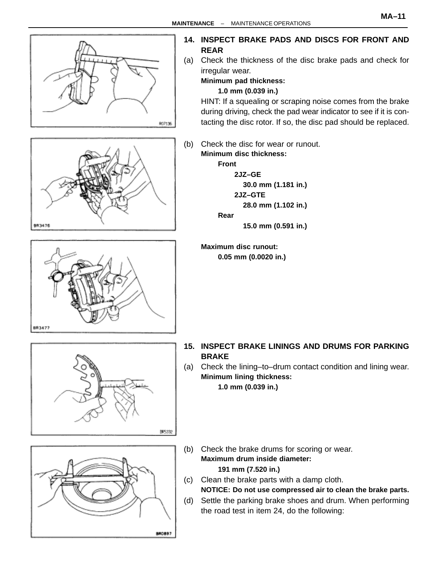

<span id="page-10-0"></span>

BROB97

(d) Settle the parking brake shoes and drum. When performing the road test in item 24, do the following: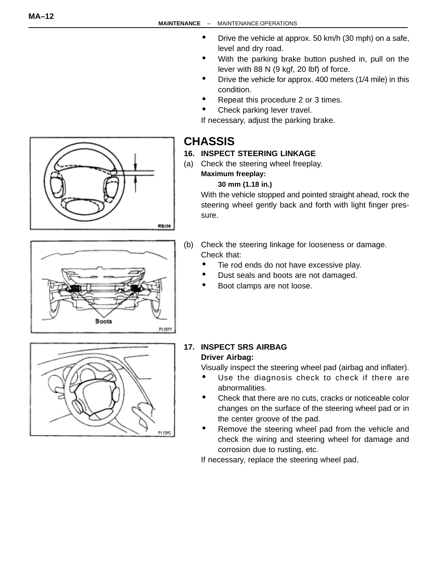- Drive the vehicle at approx. 50 km/h (30 mph) on a safe, level and dry road.
- With the parking brake button pushed in, pull on the lever with 88 N (9 kgf, 20 lbf) of force.
- Drive the vehicle for approx. 400 meters (1/4 mile) in this condition.
- Repeat this procedure 2 or 3 times.
- Check parking lever travel.

If necessary, adjust the parking brake.

## **CHASSIS**

#### **16. INSPECT STEERING LINKAGE**

(a) Check the steering wheel freeplay.

#### **Maximum freeplay: 30 mm (1.18 in.)**

With the vehicle stopped and pointed straight ahead, rock the steering wheel gently back and forth with light finger pressure.

- (b) Check the steering linkage for looseness or damage. Check that:
	- Tie rod ends do not have excessive play.
	- Dust seals and boots are not damaged.
	- Boot clamps are not loose.



#### **17. INSPECT SRS AIRBAG Driver Airbag:**

Visually inspect the steering wheel pad (airbag and inflater).

- Use the diagnosis check to check if there are abnormalities.
- Check that there are no cuts, cracks or noticeable color changes on the surface of the steering wheel pad or in the center groove of the pad.
- Remove the steering wheel pad from the vehicle and check the wiring and steering wheel for damage and corrosion due to rusting, etc.

If necessary, replace the steering wheel pad.



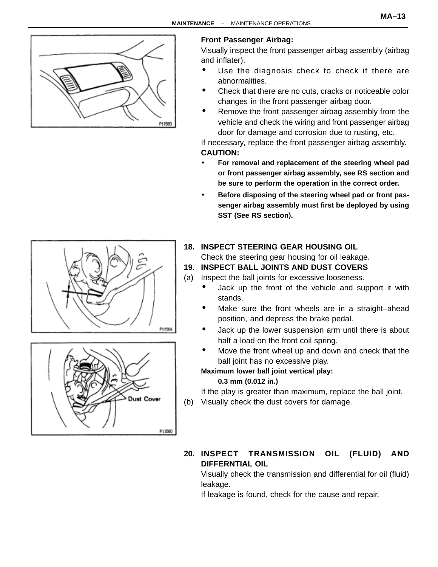

## **Front Passenger Airbag:**

Visually inspect the front passenger airbag assembly (airbag and inflater).

- Use the diagnosis check to check if there are abnormalities.
- Check that there are no cuts, cracks or noticeable color changes in the front passenger airbag door.
- Remove the front passenger airbag assembly from the vehicle and check the wiring and front passenger airbag door for damage and corrosion due to rusting, etc.

If necessary, replace the front passenger airbag assembly. **CAUTION:**

- **For removal and replacement of the steering wheel pad or front passenger airbag assembly, see RS section and be sure to perform the operation in the correct order.**
- **Before disposing of the steering wheel pad or front passenger airbag assembly must first be deployed by using SST (See RS section).**

#### **18. INSPECT STEERING GEAR HOUSING OIL**

Check the steering gear housing for oil leakage.

#### **19. INSPECT BALL JOINTS AND DUST COVERS**

(a) Inspect the ball joints for excessive looseness.

- Jack up the front of the vehicle and support it with stands.
- Make sure the front wheels are in a straight–ahead position, and depress the brake pedal.
- Jack up the lower suspension arm until there is about half a load on the front coil spring.
- Move the front wheel up and down and check that the ball joint has no excessive play.

#### **Maximum lower ball joint vertical play: 0.3 mm (0.012 in.)**

If the play is greater than maximum, replace the ball joint. (b) Visually check the dust covers for damage.

**20. INSPECT TRANSMISSION OIL (FLUID) AND DIFFERNTIAL OIL**

Visually check the transmission and differential for oil (fluid) leakage.

If leakage is found, check for the cause and repair.



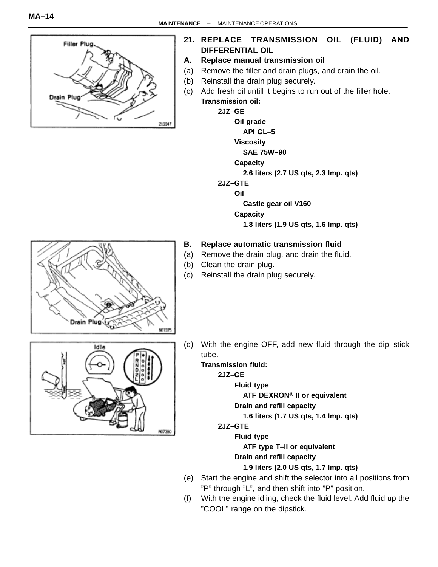

**21. REPLACE TRANSMISSION OIL (FLUID) AND DIFFERENTIAL OIL**

#### **A. Replace manual transmission oil**

- (a) Remove the filler and drain plugs, and drain the oil.
- (b) Reinstall the drain plug securely.
- (c) Add fresh oil untill it begins to run out of the filler hole. **Transmission oil:**

**2JZ–GE**

**Oil grade**

**API GL–5**

**Viscosity**

#### **SAE 75W–90**

- **Capacity**
	- **2.6 liters (2.7 US qts, 2.3 lmp. qts)**
- **2JZ–GTE**

**Oil**

**Castle gear oil V160**

**Capacity**

**1.8 liters (1.9 US qts, 1.6 lmp. qts)**

#### **B. Replace automatic transmission fluid**

- (a) Remove the drain plug, and drain the fluid.
- (b) Clean the drain plug.
- (c) Reinstall the drain plug securely.



Id I

(d) With the engine OFF, add new fluid through the dip–stick tube.

**Transmission fluid:**

**2JZ–GE**

**Fluid type**

**ATF DEXRON**® **II or equivalent**

**Drain and refill capacity**

**1.6 liters (1.7 US qts, 1.4 lmp. qts)**

**2JZ–GTE**

**ND7390** 

**Fluid type**

**ATF type T–II or equivalent**

**Drain and refill capacity**

**1.9 liters (2.0 US qts, 1.7 lmp. qts)**

- (e) Start the engine and shift the selector into all positions from "P" through "L", and then shift into "P" position.
- (f) With the engine idling, check the fluid level. Add fluid up the "COOL" range on the dipstick.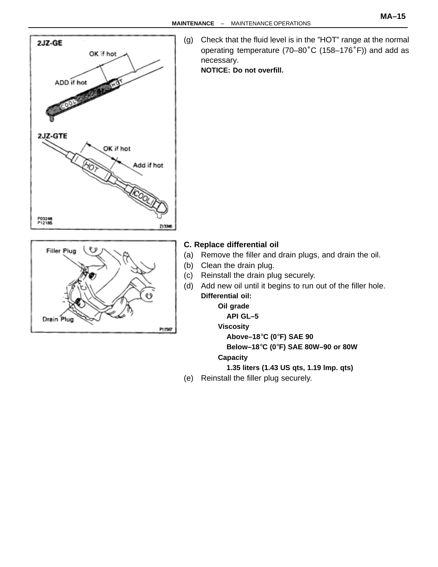



(g) Check that the fluid level is in the "HOT" range at the normal operating temperature (70–80°C (158–176°F)) and add as necessary.

**NOTICE: Do not overfill.**

- **C. Replace differential oil**
- (a) Remove the filler and drain plugs, and drain the oil.
- (b) Clean the drain plug.
- (c) Reinstall the drain plug securely.
- (d) Add new oil until it begins to run out of the filler hole. **Differential oil:**

#### **Oil grade**

#### **API GL–5**

**Viscosity**

**Above–18**°**C (0**°**F) SAE 90**

**Below–18**°**C (0**°**F) SAE 80W–90 or 80W**

#### **Capacity**

**1.35 liters (1.43 US qts, 1.19 lmp. qts)**

(e) Reinstall the filler plug securely.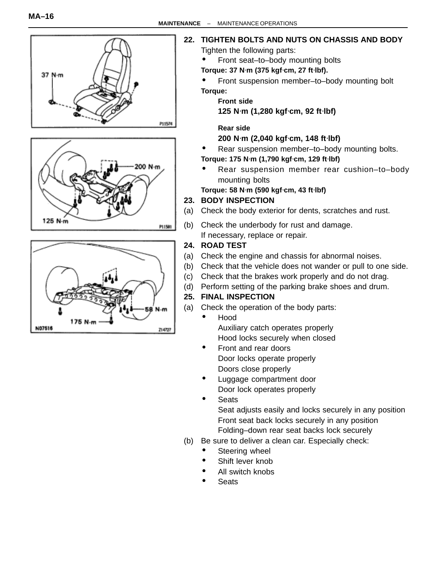

175 N-m

N07516

#### **22. TIGHTEN BOLTS AND NUTS ON CHASSIS AND BODY**

Tighten the following parts:

- Front seat–to–body mounting bolts
- **Torque: 37 N**⋅**m (375 kgf**⋅**cm, 27 ft**⋅**lbf).**

• Front suspension member–to–body mounting bolt

**Torque:**

**Front side**

**125 N**⋅**m (1,280 kgf**⋅**cm, 92 ft**⋅**lbf)**

**Rear side**

#### **200 N**⋅**m (2,040 kgf**⋅**cm, 148 ft**⋅**lbf)**

- Rear suspension member–to–body mounting bolts.
- **Torque: 175 N**⋅**m (1,790 kgf**⋅**cm, 129 ft**⋅**lbf)**
- Rear suspension member rear cushion–to–body mounting bolts

**Torque: 58 N**⋅**m (590 kgf**⋅**cm, 43 ft**⋅**lbf)**

#### **23. BODY INSPECTION**

- (a) Check the body exterior for dents, scratches and rust.
- (b) Check the underbody for rust and damage.

If necessary, replace or repair.

#### **24. ROAD TEST**

214727

- (a) Check the engine and chassis for abnormal noises.
- (b) Check that the vehicle does not wander or pull to one side.
- (c) Check that the brakes work properly and do not drag.
- (d) Perform setting of the parking brake shoes and drum.

#### **25. FINAL INSPECTION**

- (a) Check the operation of the body parts:
	- Hood Auxiliary catch operates properly Hood locks securely when closed
	- Front and rear doors Door locks operate properly Doors close properly
	- Luggage compartment door
	- Door lock operates properly
	- **Seats**

Seat adjusts easily and locks securely in any position Front seat back locks securely in any position Folding–down rear seat backs lock securely

- (b) Be sure to deliver a clean car. Especially check:
	- Steering wheel
	- Shift lever knob
	- All switch knobs
	- Seats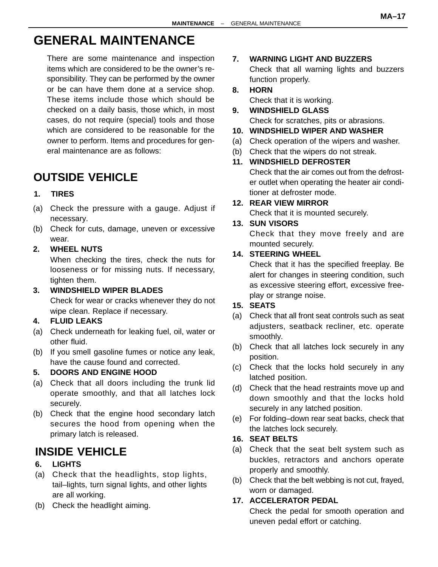## **GENERAL MAINTENANCE**

There are some maintenance and inspection items which are considered to be the owner's responsibility. They can be performed by the owner or be can have them done at a service shop. These items include those which should be checked on a daily basis, those which, in most cases, do not require (special) tools and those which are considered to be reasonable for the owner to perform. Items and procedures for general maintenance are as follows:

## **OUTSIDE VEHICLE**

#### **1. TIRES**

- (a) Check the pressure with a gauge. Adjust if necessary.
- (b) Check for cuts, damage, uneven or excessive wear.

#### **2. WHEEL NUTS**

When checking the tires, check the nuts for looseness or for missing nuts. If necessary, tighten them.

#### **3. WINDSHIELD WIPER BLADES**

Check for wear or cracks whenever they do not wipe clean. Replace if necessary.

#### **4. FLUID LEAKS**

- (a) Check underneath for leaking fuel, oil, water or other fluid.
- (b) If you smell gasoline fumes or notice any leak, have the cause found and corrected.

#### **5. DOORS AND ENGINE HOOD**

- (a) Check that all doors including the trunk lid operate smoothly, and that all latches lock securely.
- (b) Check that the engine hood secondary latch secures the hood from opening when the primary latch is released.

## **INSIDE VEHICLE**

#### **6. LIGHTS**

- (a) Check that the headlights, stop lights, tail–lights, turn signal lights, and other lights are all working.
- (b) Check the headlight aiming.

#### **7. WARNING LIGHT AND BUZZERS**

Check that all warning lights and buzzers function properly.

### **8. HORN**

Check that it is working.

**9. WINDSHIELD GLASS** Check for scratches, pits or abrasions.

#### **10. WINDSHIELD WIPER AND WASHER**

- (a) Check operation of the wipers and washer.
- (b) Check that the wipers do not streak.

#### **11. WINDSHIELD DEFROSTER**

Check that the air comes out from the defroster outlet when operating the heater air conditioner at defroster mode.

#### **12. REAR VIEW MIRROR**

Check that it is mounted securely.

#### **13. SUN VISORS**

Check that they move freely and are mounted securely.

#### **14. STEERING WHEEL**

Check that it has the specified freeplay. Be alert for changes in steering condition, such as excessive steering effort, excessive freeplay or strange noise.

#### **15. SEATS**

- (a) Check that all front seat controls such as seat adjusters, seatback recliner, etc. operate smoothly.
- (b) Check that all latches lock securely in any position.
- (c) Check that the locks hold securely in any latched position.
- (d) Check that the head restraints move up and down smoothly and that the locks hold securely in any latched position.
- (e) For folding–down rear seat backs, check that the latches lock securely.

#### **16. SEAT BELTS**

- (a) Check that the seat belt system such as buckles, retractors and anchors operate properly and smoothly.
- (b) Check that the belt webbing is not cut, frayed, worn or damaged.

#### **17. ACCELERATOR PEDAL**

Check the pedal for smooth operation and uneven pedal effort or catching.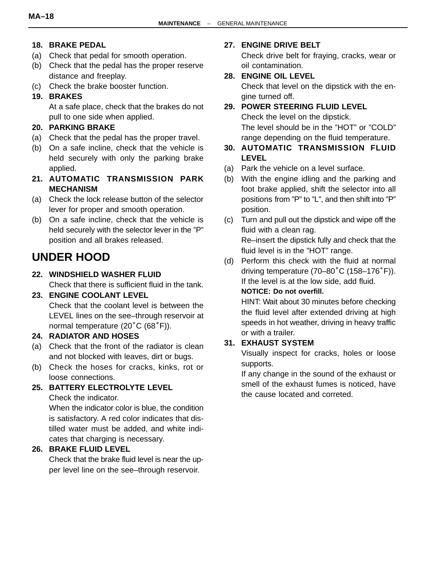#### **18. BRAKE PEDAL**

- (a) Check that pedal for smooth operation.
- (b) Check that the pedal has the proper reserve distance and freeplay.
- (c) Check the brake booster function.

#### **19. BRAKES**

At a safe place, check that the brakes do not pull to one side when applied.

#### **20. PARKING BRAKE**

- (a) Check that the pedal has the proper travel.
- (b) On a safe incline, check that the vehicle is held securely with only the parking brake applied.
- **21. AUTOMATIC TRANSMISSION PARK MECHANISM**
- (a) Check the lock release button of the selector lever for proper and smooth operation.
- (b) On a safe incline, check that the vehicle is held securely with the selector lever in the "P" position and all brakes released.

## **UNDER HOOD**

**22. WINDSHIELD WASHER FLUID** Check that there is sufficient fluid in the tank.

#### **23. ENGINE COOLANT LEVEL** Check that the coolant level is between the LEVEL lines on the see–through reservoir at normal temperature (20°C (68°F)).

#### **24. RADIATOR AND HOSES**

- (a) Check that the front of the radiator is clean and not blocked with leaves, dirt or bugs.
- (b) Check the hoses for cracks, kinks, rot or loose connections.

#### **25. BATTERY ELECTROLYTE LEVEL**

Check the indicator.

When the indicator color is blue, the condition is satisfactory. A red color indicates that distilled water must be added, and white indicates that charging is necessary.

#### **26. BRAKE FLUID LEVEL**

Check that the brake fluid level is near the upper level line on the see–through reservoir.

#### **27. ENGINE DRIVE BELT**

Check drive belt for fraying, cracks, wear or oil contamination.

#### **28. ENGINE OIL LEVEL**

Check that level on the dipstick with the engine turned off.

#### **29. POWER STEERING FLUID LEVEL** Check the level on the dipstick. The level should be in the "HOT" or "COLD" range depending on the fluid temperature.

- **30. AUTOMATIC TRANSMISSION FLUID LEVEL**
- (a) Park the vehicle on a level surface.
- (b) With the engine idling and the parking and foot brake applied, shift the selector into all positions from "P" to "L", and then shift into "P" position.
- (c) Turn and pull out the dipstick and wipe off the fluid with a clean rag. Re–insert the dipstick fully and check that the fluid level is in the "HOT" range.
- (d) Perform this check with the fluid at normal driving temperature (70–80°C (158–176°F)). If the level is at the low side, add fluid. **NOTICE: Do not overfill.**

HINT: Wait about 30 minutes before checking the fluid level after extended driving at high speeds in hot weather, driving in heavy traffic or with a trailer.

#### **31. EXHAUST SYSTEM**

Visually inspect for cracks, holes or loose supports.

If any change in the sound of the exhaust or smell of the exhaust fumes is noticed, have the cause located and correted.